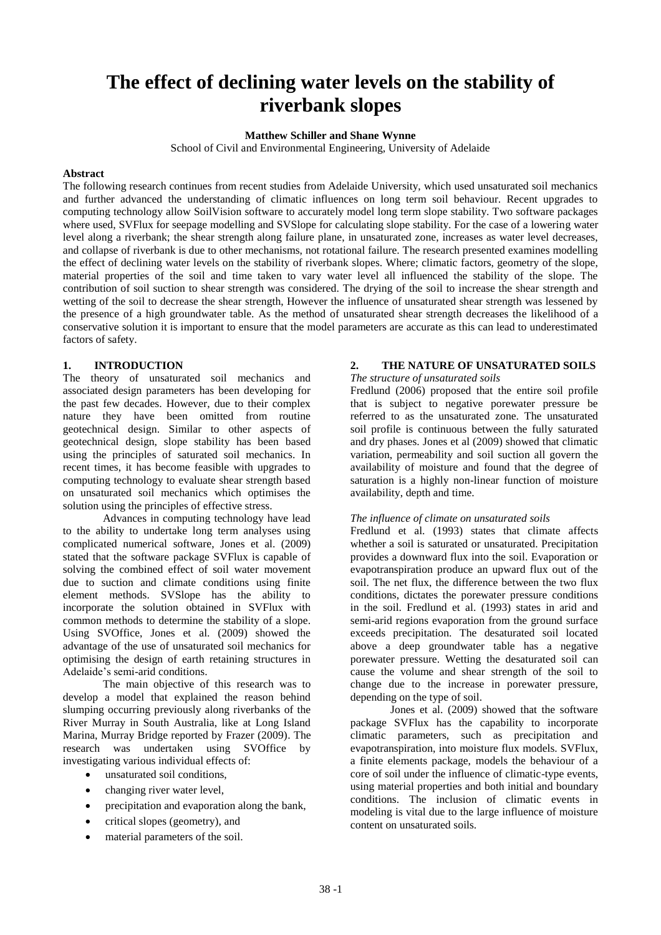# **The effect of declining water levels on the stability of riverbank slopes**

## **Matthew Schiller and Shane Wynne**

School of Civil and Environmental Engineering, University of Adelaide

#### **Abstract**

The following research continues from recent studies from Adelaide University, which used unsaturated soil mechanics and further advanced the understanding of climatic influences on long term soil behaviour. Recent upgrades to computing technology allow SoilVision software to accurately model long term slope stability. Two software packages where used, SVFlux for seepage modelling and SVSlope for calculating slope stability. For the case of a lowering water level along a riverbank; the shear strength along failure plane, in unsaturated zone, increases as water level decreases, and collapse of riverbank is due to other mechanisms, not rotational failure. The research presented examines modelling the effect of declining water levels on the stability of riverbank slopes. Where; climatic factors, geometry of the slope, material properties of the soil and time taken to vary water level all influenced the stability of the slope. The contribution of soil suction to shear strength was considered. The drying of the soil to increase the shear strength and wetting of the soil to decrease the shear strength, However the influence of unsaturated shear strength was lessened by the presence of a high groundwater table. As the method of unsaturated shear strength decreases the likelihood of a conservative solution it is important to ensure that the model parameters are accurate as this can lead to underestimated factors of safety.

# **1. INTRODUCTION**

The theory of unsaturated soil mechanics and associated design parameters has been developing for the past few decades. However, due to their complex nature they have been omitted from routine geotechnical design. Similar to other aspects of geotechnical design, slope stability has been based using the principles of saturated soil mechanics. In recent times, it has become feasible with upgrades to computing technology to evaluate shear strength based on unsaturated soil mechanics which optimises the solution using the principles of effective stress.

Advances in computing technology have lead to the ability to undertake long term analyses using complicated numerical software, Jones et al. (2009) stated that the software package SVFlux is capable of solving the combined effect of soil water movement due to suction and climate conditions using finite element methods. SVSlope has the ability to incorporate the solution obtained in SVFlux with common methods to determine the stability of a slope. Using SVOffice, Jones et al. (2009) showed the advantage of the use of unsaturated soil mechanics for optimising the design of earth retaining structures in Adelaide"s semi-arid conditions.

The main objective of this research was to develop a model that explained the reason behind slumping occurring previously along riverbanks of the River Murray in South Australia, like at Long Island Marina, Murray Bridge reported by Frazer (2009). The research was undertaken using SVOffice by investigating various individual effects of:

- unsaturated soil conditions,
- changing river water level,
- precipitation and evaporation along the bank,
- critical slopes (geometry), and
- material parameters of the soil.

# **2. THE NATURE OF UNSATURATED SOILS**

*The structure of unsaturated soils*

Fredlund (2006) proposed that the entire soil profile that is subject to negative porewater pressure be referred to as the unsaturated zone. The unsaturated soil profile is continuous between the fully saturated and dry phases. Jones et al (2009) showed that climatic variation, permeability and soil suction all govern the availability of moisture and found that the degree of saturation is a highly non-linear function of moisture availability, depth and time.

## *The influence of climate on unsaturated soils*

Fredlund et al. (1993) states that climate affects whether a soil is saturated or unsaturated. Precipitation provides a downward flux into the soil. Evaporation or evapotranspiration produce an upward flux out of the soil. The net flux, the difference between the two flux conditions, dictates the porewater pressure conditions in the soil. Fredlund et al. (1993) states in arid and semi-arid regions evaporation from the ground surface exceeds precipitation. The desaturated soil located above a deep groundwater table has a negative porewater pressure. Wetting the desaturated soil can cause the volume and shear strength of the soil to change due to the increase in porewater pressure, depending on the type of soil.

Jones et al. (2009) showed that the software package SVFlux has the capability to incorporate climatic parameters, such as precipitation and evapotranspiration, into moisture flux models. SVFlux, a finite elements package, models the behaviour of a core of soil under the influence of climatic-type events, using material properties and both initial and boundary conditions. The inclusion of climatic events in modeling is vital due to the large influence of moisture content on unsaturated soils.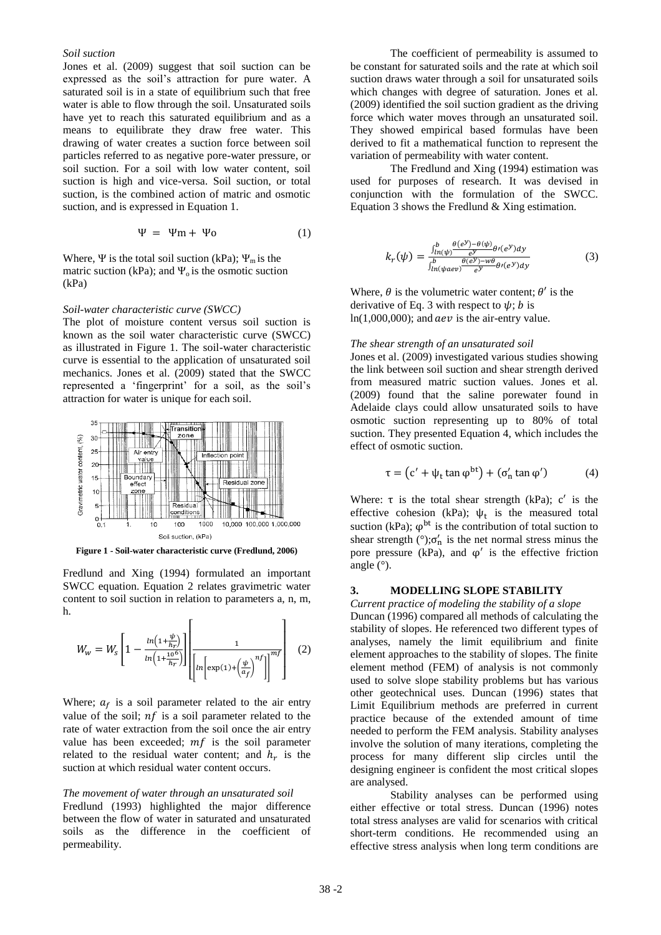## *Soil suction*

Jones et al. (2009) suggest that soil suction can be expressed as the soil"s attraction for pure water. A saturated soil is in a state of equilibrium such that free water is able to flow through the soil. Unsaturated soils have yet to reach this saturated equilibrium and as a means to equilibrate they draw free water. This drawing of water creates a suction force between soil particles referred to as negative pore-water pressure, or soil suction. For a soil with low water content, soil suction is high and vice-versa. Soil suction, or total suction, is the combined action of matric and osmotic suction, and is expressed in Equation 1.

$$
\Psi = \Psi m + \Psi o \tag{1}
$$

Where,  $\Psi$  is the total soil suction (kPa);  $\Psi_m$  is the matric suction (kPa); and  $\Psi_0$  is the osmotic suction (kPa)

#### *Soil-water characteristic curve (SWCC)*

The plot of moisture content versus soil suction is known as the soil water characteristic curve (SWCC) as illustrated in Figure 1. The soil-water characteristic curve is essential to the application of unsaturated soil mechanics. Jones et al. (2009) stated that the SWCC represented a 'fingerprint' for a soil, as the soil's attraction for water is unique for each soil.



**Figure 1 - Soil-water characteristic curve (Fredlund, 2006)**

Fredlund and Xing (1994) formulated an important SWCC equation. Equation 2 relates gravimetric water content to soil suction in relation to parameters a, n, m, h.  $\mathbf{r}$ 

$$
W_w = W_s \left[ 1 - \frac{\ln\left(1 + \frac{\psi}{h_r}\right)}{\ln\left(1 + \frac{10^6}{h_r}\right)} \right] \left[ \frac{1}{\left[ \ln\left[\exp(1) + \left(\frac{\psi}{a_f}\right)^{nf}\right] \right]^{\pi f}} \right] \tag{2}
$$

٦

Where;  $a_f$  is a soil parameter related to the air entry value of the soil;  $nf$  is a soil parameter related to the rate of water extraction from the soil once the air entry value has been exceeded;  $mf$  is the soil parameter related to the residual water content; and  $h_r$  is the suction at which residual water content occurs.

#### *The movement of water through an unsaturated soil*

Fredlund (1993) highlighted the major difference between the flow of water in saturated and unsaturated soils as the difference in the coefficient of permeability.

The coefficient of permeability is assumed to be constant for saturated soils and the rate at which soil suction draws water through a soil for unsaturated soils which changes with degree of saturation. Jones et al. (2009) identified the soil suction gradient as the driving force which water moves through an unsaturated soil. They showed empirical based formulas have been derived to fit a mathematical function to represent the variation of permeability with water content.

The Fredlund and Xing (1994) estimation was used for purposes of research. It was devised in conjunction with the formulation of the SWCC. Equation 3 shows the Fredlund & Xing estimation.

$$
k_r(\psi) = \frac{\int_{ln(\psi)}^b \frac{\theta(e^y) - \theta(\psi)}{e^y} \theta'(e^y) dy}{\int_{ln(\psi aev)}^b \frac{\theta(e^y) - w\theta}{e^y} \theta'(e^y) dy}
$$
(3)

Where,  $\theta$  is the volumetric water content;  $\theta'$  is the derivative of Eq. 3 with respect to  $\psi$ ; *b* is  $ln(1,000,000)$ ; and  $aev$  is the air-entry value.

#### *The shear strength of an unsaturated soil*

Jones et al. (2009) investigated various studies showing the link between soil suction and shear strength derived from measured matric suction values. Jones et al. (2009) found that the saline porewater found in Adelaide clays could allow unsaturated soils to have osmotic suction representing up to 80% of total suction. They presented Equation 4, which includes the effect of osmotic suction.

$$
\tau = (c' + \psi_t \tan \varphi^{bt}) + (\sigma'_n \tan \varphi') \tag{4}
$$

Where:  $\tau$  is the total shear strength (kPa);  $c'$  is the effective cohesion (kPa);  $\psi_t$  is the measured total suction (kPa);  $\varphi$ <sup>bt</sup> is the contribution of total suction to shear strength  $(°)$ ; $\sigma'_{n}$  is the net normal stress minus the pore pressure ( $kPa$ ), and  $\varphi'$  is the effective friction angle (°).

#### **3. MODELLING SLOPE STABILITY**

*Current practice of modeling the stability of a slope* Duncan (1996) compared all methods of calculating the stability of slopes. He referenced two different types of analyses, namely the limit equilibrium and finite element approaches to the stability of slopes. The finite element method (FEM) of analysis is not commonly used to solve slope stability problems but has various other geotechnical uses. Duncan (1996) states that Limit Equilibrium methods are preferred in current practice because of the extended amount of time needed to perform the FEM analysis. Stability analyses involve the solution of many iterations, completing the process for many different slip circles until the designing engineer is confident the most critical slopes are analysed.

Stability analyses can be performed using either effective or total stress. Duncan (1996) notes total stress analyses are valid for scenarios with critical short-term conditions. He recommended using an effective stress analysis when long term conditions are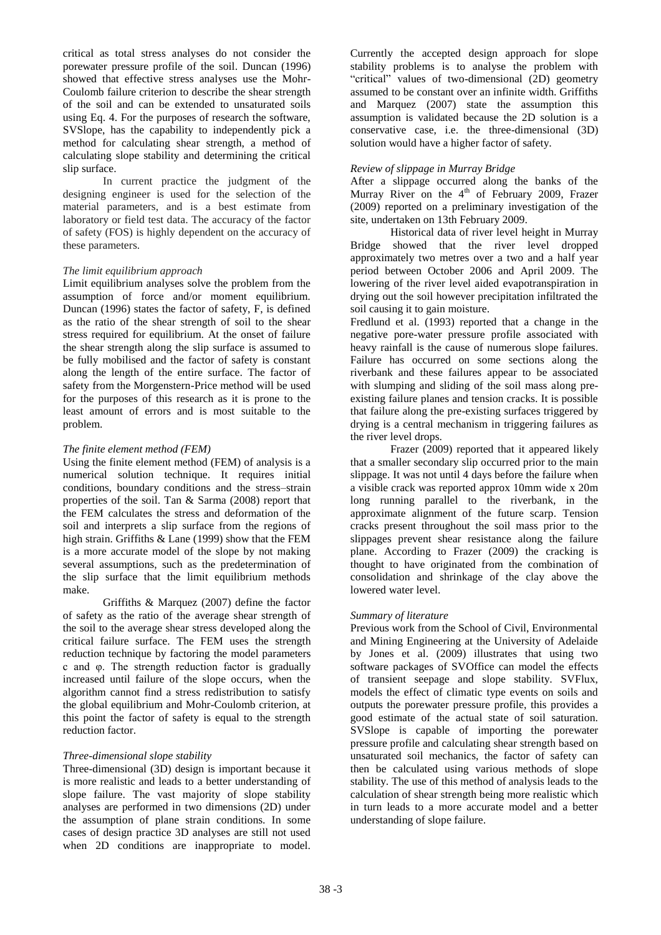critical as total stress analyses do not consider the porewater pressure profile of the soil. Duncan (1996) showed that effective stress analyses use the Mohr-Coulomb failure criterion to describe the shear strength of the soil and can be extended to unsaturated soils using Eq. 4. For the purposes of research the software, SVSlope, has the capability to independently pick a method for calculating shear strength, a method of calculating slope stability and determining the critical slip surface.

In current practice the judgment of the designing engineer is used for the selection of the material parameters, and is a best estimate from laboratory or field test data. The accuracy of the factor of safety (FOS) is highly dependent on the accuracy of these parameters.

# *The limit equilibrium approach*

Limit equilibrium analyses solve the problem from the assumption of force and/or moment equilibrium. Duncan (1996) states the factor of safety, F, is defined as the ratio of the shear strength of soil to the shear stress required for equilibrium. At the onset of failure the shear strength along the slip surface is assumed to be fully mobilised and the factor of safety is constant along the length of the entire surface. The factor of safety from the Morgenstern-Price method will be used for the purposes of this research as it is prone to the least amount of errors and is most suitable to the problem.

## *The finite element method (FEM)*

Using the finite element method (FEM) of analysis is a numerical solution technique. It requires initial conditions, boundary conditions and the stress–strain properties of the soil. Tan & Sarma (2008) report that the FEM calculates the stress and deformation of the soil and interprets a slip surface from the regions of high strain. Griffiths & Lane (1999) show that the FEM is a more accurate model of the slope by not making several assumptions, such as the predetermination of the slip surface that the limit equilibrium methods make.

Griffiths & Marquez (2007) define the factor of safety as the ratio of the average shear strength of the soil to the average shear stress developed along the critical failure surface. The FEM uses the strength reduction technique by factoring the model parameters c and φ. The strength reduction factor is gradually increased until failure of the slope occurs, when the algorithm cannot find a stress redistribution to satisfy the global equilibrium and Mohr-Coulomb criterion, at this point the factor of safety is equal to the strength reduction factor.

# *Three-dimensional slope stability*

Three-dimensional (3D) design is important because it is more realistic and leads to a better understanding of slope failure. The vast majority of slope stability analyses are performed in two dimensions (2D) under the assumption of plane strain conditions. In some cases of design practice 3D analyses are still not used when 2D conditions are inappropriate to model. Currently the accepted design approach for slope stability problems is to analyse the problem with "critical" values of two-dimensional (2D) geometry assumed to be constant over an infinite width. Griffiths and Marquez (2007) state the assumption this assumption is validated because the 2D solution is a conservative case, i.e. the three-dimensional (3D) solution would have a higher factor of safety.

## *Review of slippage in Murray Bridge*

After a slippage occurred along the banks of the Murray River on the  $4<sup>th</sup>$  of February 2009, Frazer (2009) reported on a preliminary investigation of the site, undertaken on 13th February 2009.

Historical data of river level height in Murray Bridge showed that the river level dropped approximately two metres over a two and a half year period between October 2006 and April 2009. The lowering of the river level aided evapotranspiration in drying out the soil however precipitation infiltrated the soil causing it to gain moisture.

Fredlund et al. (1993) reported that a change in the negative pore-water pressure profile associated with heavy rainfall is the cause of numerous slope failures. Failure has occurred on some sections along the riverbank and these failures appear to be associated with slumping and sliding of the soil mass along preexisting failure planes and tension cracks. It is possible that failure along the pre-existing surfaces triggered by drying is a central mechanism in triggering failures as the river level drops.

Frazer (2009) reported that it appeared likely that a smaller secondary slip occurred prior to the main slippage. It was not until 4 days before the failure when a visible crack was reported approx 10mm wide x 20m long running parallel to the riverbank, in the approximate alignment of the future scarp. Tension cracks present throughout the soil mass prior to the slippages prevent shear resistance along the failure plane. According to Frazer (2009) the cracking is thought to have originated from the combination of consolidation and shrinkage of the clay above the lowered water level.

# *Summary of literature*

Previous work from the School of Civil, Environmental and Mining Engineering at the University of Adelaide by Jones et al. (2009) illustrates that using two software packages of SVOffice can model the effects of transient seepage and slope stability. SVFlux, models the effect of climatic type events on soils and outputs the porewater pressure profile, this provides a good estimate of the actual state of soil saturation. SVSlope is capable of importing the porewater pressure profile and calculating shear strength based on unsaturated soil mechanics, the factor of safety can then be calculated using various methods of slope stability. The use of this method of analysis leads to the calculation of shear strength being more realistic which in turn leads to a more accurate model and a better understanding of slope failure.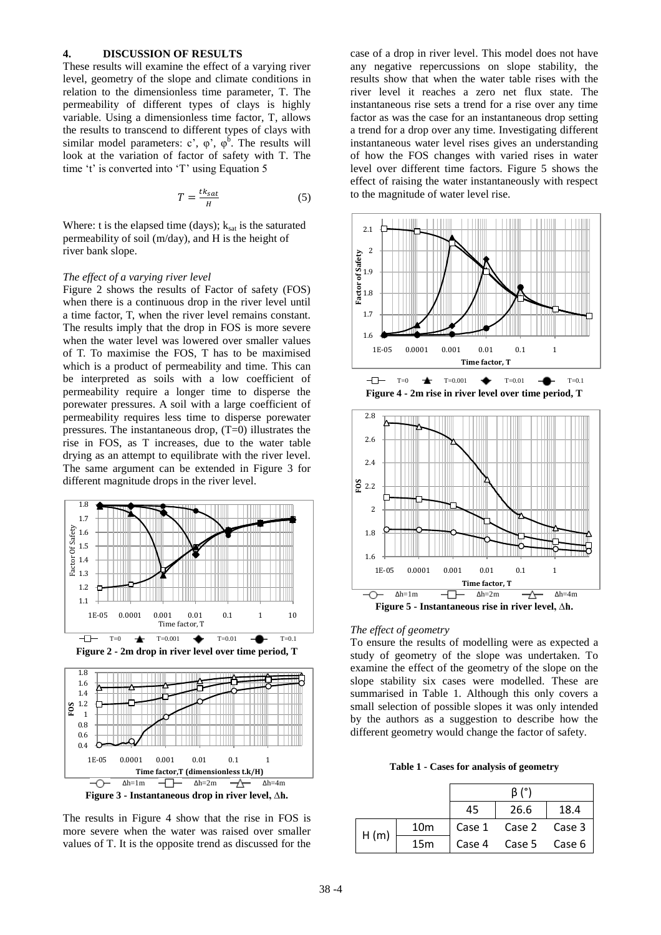## **4. DISCUSSION OF RESULTS**

These results will examine the effect of a varying river level, geometry of the slope and climate conditions in relation to the dimensionless time parameter, T. The permeability of different types of clays is highly variable. Using a dimensionless time factor, T, allows the results to transcend to different types of clays with similar model parameters:  $c^{\prime}$ ,  $\varphi^{\prime}$ ,  $\varphi^{\text{b}}$ . The results will look at the variation of factor of safety with T. The time 't' is converted into 'T' using Equation 5

$$
T = \frac{tk_{sat}}{H} \tag{5}
$$

Where: t is the elapsed time (days);  $k_{sat}$  is the saturated permeability of soil (m/day), and H is the height of river bank slope.

#### *The effect of a varying river level*

Figure 2 shows the results of Factor of safety (FOS) when there is a continuous drop in the river level until a time factor, T, when the river level remains constant. The results imply that the drop in FOS is more severe when the water level was lowered over smaller values of T. To maximise the FOS, T has to be maximised which is a product of permeability and time. This can be interpreted as soils with a low coefficient of permeability require a longer time to disperse the porewater pressures. A soil with a large coefficient of permeability requires less time to disperse porewater pressures. The instantaneous drop, (T=0) illustrates the rise in FOS, as T increases, due to the water table drying as an attempt to equilibrate with the river level. The same argument can be extended in Figure 3 for different magnitude drops in the river level.





The results in Figure 4 show that the rise in FOS is more severe when the water was raised over smaller values of T. It is the opposite trend as discussed for the

case of a drop in river level. This model does not have any negative repercussions on slope stability, the results show that when the water table rises with the river level it reaches a zero net flux state. The instantaneous rise sets a trend for a rise over any time factor as was the case for an instantaneous drop setting a trend for a drop over any time. Investigating different instantaneous water level rises gives an understanding of how the FOS changes with varied rises in water level over different time factors. Figure 5 shows the effect of raising the water instantaneously with respect to the magnitude of water level rise.







#### *The effect of geometry*

To ensure the results of modelling were as expected a study of geometry of the slope was undertaken. To examine the effect of the geometry of the slope on the slope stability six cases were modelled. These are summarised in Table 1. Although this only covers a small selection of possible slopes it was only intended by the authors as a suggestion to describe how the different geometry would change the factor of safety.

**Table 1 - Cases for analysis of geometry**

|      |                 | 45 | 26.6                 | 18.4 |
|------|-----------------|----|----------------------|------|
| H(m) | 10 <sub>m</sub> |    | Case 1 Case 2 Case 3 |      |
|      | 15 <sub>m</sub> |    | Case 4 Case 5 Case 6 |      |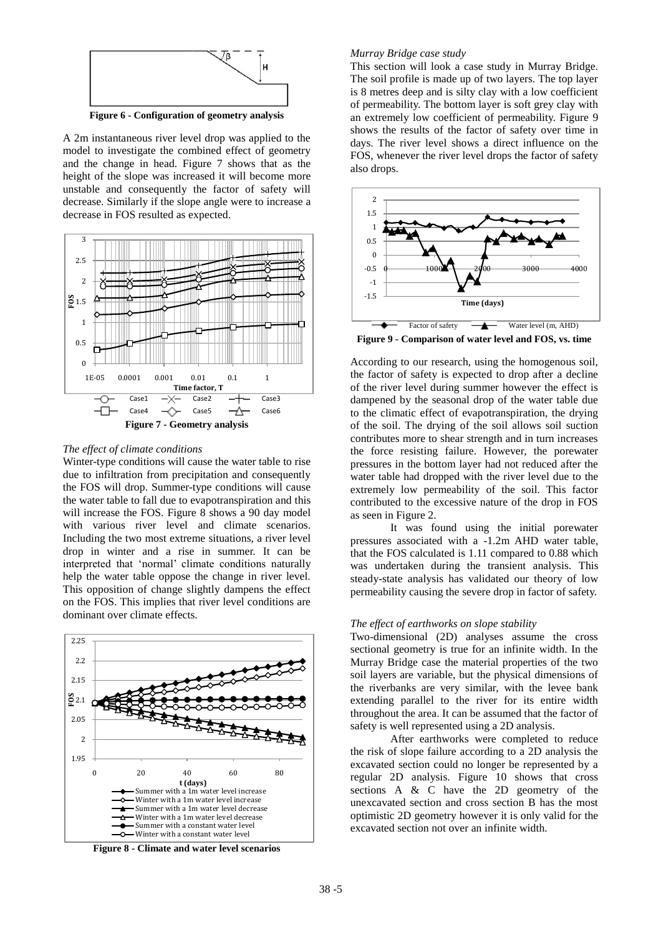

A 2m instantaneous river level drop was applied to the model to investigate the combined effect of geometry and the change in head. Figure 7 shows that as the height of the slope was increased it will become more unstable and consequently the factor of safety will decrease. Similarly if the slope angle were to increase a decrease in FOS resulted as expected.



### *The effect of climate conditions*

Winter-type conditions will cause the water table to rise due to infiltration from precipitation and consequently the FOS will drop. Summer-type conditions will cause the water table to fall due to evapotranspiration and this will increase the FOS. Figure 8 shows a 90 day model with various river level and climate scenarios. Including the two most extreme situations, a river level drop in winter and a rise in summer. It can be interpreted that "normal" climate conditions naturally help the water table oppose the change in river level. This opposition of change slightly dampens the effect on the FOS. This implies that river level conditions are dominant over climate effects.



**Figure 8 - Climate and water level scenarios**

#### *Murray Bridge case study*

This section will look a case study in Murray Bridge. The soil profile is made up of two layers. The top layer is 8 metres deep and is silty clay with a low coefficient of permeability. The bottom layer is soft grey clay with an extremely low coefficient of permeability. Figure 9 shows the results of the factor of safety over time in days. The river level shows a direct influence on the FOS, whenever the river level drops the factor of safety also drops.



**Figure 9 - Comparison of water level and FOS, vs. time**

According to our research, using the homogenous soil, the factor of safety is expected to drop after a decline of the river level during summer however the effect is dampened by the seasonal drop of the water table due to the climatic effect of evapotranspiration, the drying of the soil. The drying of the soil allows soil suction contributes more to shear strength and in turn increases the force resisting failure. However, the porewater pressures in the bottom layer had not reduced after the water table had dropped with the river level due to the extremely low permeability of the soil. This factor contributed to the excessive nature of the drop in FOS as seen in Figure 2.

It was found using the initial porewater pressures associated with a -1.2m AHD water table, that the FOS calculated is 1.11 compared to 0.88 which was undertaken during the transient analysis. This steady-state analysis has validated our theory of low permeability causing the severe drop in factor of safety.

### *The effect of earthworks on slope stability*

Two-dimensional (2D) analyses assume the cross sectional geometry is true for an infinite width. In the Murray Bridge case the material properties of the two soil layers are variable, but the physical dimensions of the riverbanks are very similar, with the levee bank extending parallel to the river for its entire width throughout the area. It can be assumed that the factor of safety is well represented using a 2D analysis.

After earthworks were completed to reduce the risk of slope failure according to a 2D analysis the excavated section could no longer be represented by a regular 2D analysis. Figure 10 shows that cross sections A & C have the 2D geometry of the unexcavated section and cross section B has the most optimistic 2D geometry however it is only valid for the excavated section not over an infinite width.